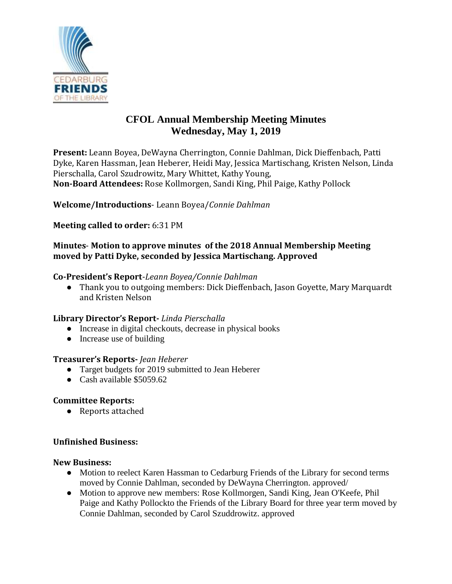

# **CFOL Annual Membership Meeting Minutes Wednesday, May 1, 2019**

**Present:** Leann Boyea, DeWayna Cherrington, Connie Dahlman, Dick Dieffenbach, Patti Dyke, Karen Hassman, Jean Heberer, Heidi May, Jessica Martischang, Kristen Nelson, Linda Pierschalla, Carol Szudrowitz, Mary Whittet, Kathy Young, **Non-Board Attendees:** Rose Kollmorgen, Sandi King, Phil Paige, Kathy Pollock

**Welcome/Introductions**- Leann Boyea/*Connie Dahlman*

**Meeting called to order:** 6:31 PM

### **Minutes**- **Motion to approve minutes of the 2018 Annual Membership Meeting moved by Patti Dyke, seconded by Jessica Martischang. Approved**

#### **Co-President's Report**-*Leann Boyea/Connie Dahlman*

● Thank you to outgoing members: Dick Dieffenbach, Jason Goyette, Mary Marquardt and Kristen Nelson

# **Library Director's Report-** *Linda Pierschalla*

- Increase in digital checkouts, decrease in physical books
- Increase use of building

#### **Treasurer's Reports-** *Jean Heberer*

- Target budgets for 2019 submitted to Jean Heberer
- Cash available \$5059.62

# **Committee Reports:**

● Reports attached

# **Unfinished Business:**

#### **New Business:**

- Motion to reelect Karen Hassman to Cedarburg Friends of the Library for second terms moved by Connie Dahlman, seconded by DeWayna Cherrington. approved/
- Motion to approve new members: Rose Kollmorgen, Sandi King, Jean O'Keefe, Phil Paige and Kathy Pollockto the Friends of the Library Board for three year term moved by Connie Dahlman, seconded by Carol Szuddrowitz. approved